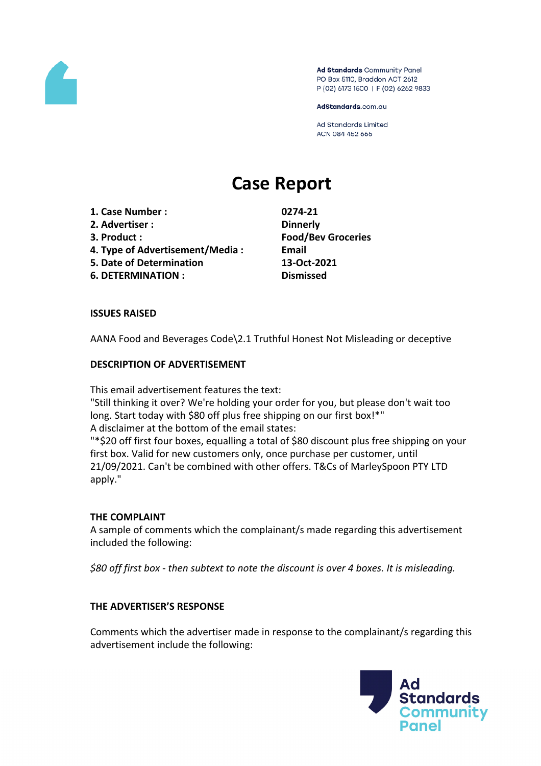

Ad Standards Community Panel PO Box 5110, Braddon ACT 2612 P (02) 6173 1500 | F (02) 6262 9833

AdStandards.com.au

Ad Standards Limited ACN 084 452 666

# **Case Report**

- **1. Case Number : 0274-21**
- **2. Advertiser : Dinnerly**
- 
- **4. Type of Advertisement/Media : Email**
- **5. Date of Determination 13-Oct-2021**
- **6. DETERMINATION : Dismissed**

**3. Product : Food/Bev Groceries**

# **ISSUES RAISED**

AANA Food and Beverages Code\2.1 Truthful Honest Not Misleading or deceptive

# **DESCRIPTION OF ADVERTISEMENT**

This email advertisement features the text:

"Still thinking it over? We're holding your order for you, but please don't wait too long. Start today with \$80 off plus free shipping on our first box!\*" A disclaimer at the bottom of the email states:

"\*\$20 off first four boxes, equalling a total of \$80 discount plus free shipping on your first box. Valid for new customers only, once purchase per customer, until 21/09/2021. Can't be combined with other offers. T&Cs of MarleySpoon PTY LTD apply."

## **THE COMPLAINT**

A sample of comments which the complainant/s made regarding this advertisement included the following:

*\$80 off first box - then subtext to note the discount is over 4 boxes. It is misleading.*

## **THE ADVERTISER'S RESPONSE**

Comments which the advertiser made in response to the complainant/s regarding this advertisement include the following:

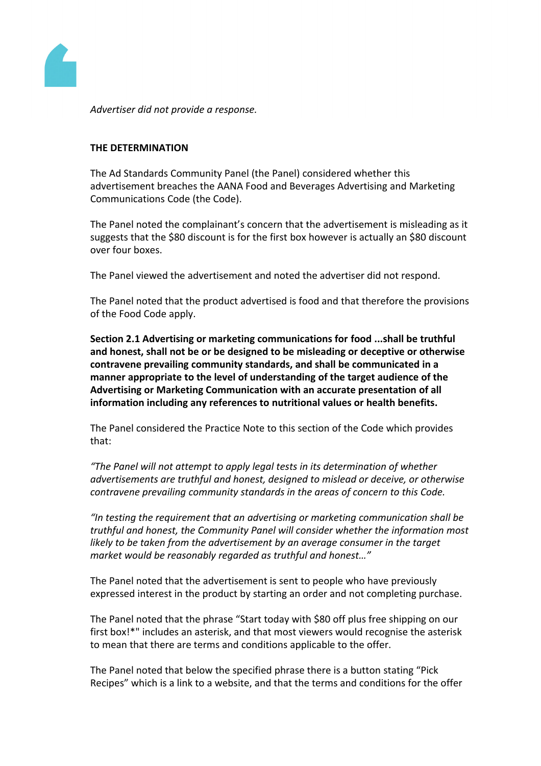

*Advertiser did not provide a response.*

### **THE DETERMINATION**

The Ad Standards Community Panel (the Panel) considered whether this advertisement breaches the AANA Food and Beverages Advertising and Marketing Communications Code (the Code).

The Panel noted the complainant's concern that the advertisement is misleading as it suggests that the \$80 discount is for the first box however is actually an \$80 discount over four boxes.

The Panel viewed the advertisement and noted the advertiser did not respond.

The Panel noted that the product advertised is food and that therefore the provisions of the Food Code apply.

**Section 2.1 Advertising or marketing communications for food ...shall be truthful and honest, shall not be or be designed to be misleading or deceptive or otherwise contravene prevailing community standards, and shall be communicated in a manner appropriate to the level of understanding of the target audience of the Advertising or Marketing Communication with an accurate presentation of all information including any references to nutritional values or health benefits.**

The Panel considered the Practice Note to this section of the Code which provides that:

*"The Panel will not attempt to apply legal tests in its determination of whether advertisements are truthful and honest, designed to mislead or deceive, or otherwise contravene prevailing community standards in the areas of concern to this Code.*

*"In testing the requirement that an advertising or marketing communication shall be truthful and honest, the Community Panel will consider whether the information most likely to be taken from the advertisement by an average consumer in the target market would be reasonably regarded as truthful and honest…"*

The Panel noted that the advertisement is sent to people who have previously expressed interest in the product by starting an order and not completing purchase.

The Panel noted that the phrase "Start today with \$80 off plus free shipping on our first box!\*" includes an asterisk, and that most viewers would recognise the asterisk to mean that there are terms and conditions applicable to the offer.

The Panel noted that below the specified phrase there is a button stating "Pick Recipes" which is a link to a website, and that the terms and conditions for the offer